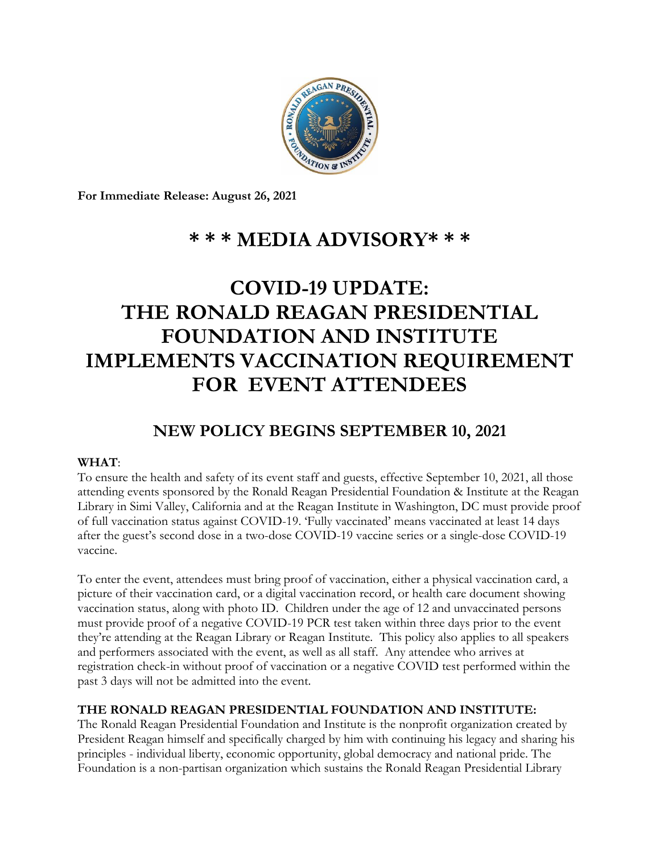

**For Immediate Release: August 26, 2021**

## **\* \* \* MEDIA ADVISORY\* \* \***

# **COVID-19 UPDATE: THE RONALD REAGAN PRESIDENTIAL FOUNDATION AND INSTITUTE IMPLEMENTS VACCINATION REQUIREMENT FOR EVENT ATTENDEES**

### **NEW POLICY BEGINS SEPTEMBER 10, 2021**

### **WHAT**:

To ensure the health and safety of its event staff and guests, effective September 10, 2021, all those attending events sponsored by the Ronald Reagan Presidential Foundation & Institute at the Reagan Library in Simi Valley, California and at the Reagan Institute in Washington, DC must provide proof of full vaccination status against COVID-19. 'Fully vaccinated' means vaccinated at least 14 days after the guest's second dose in a two-dose COVID-19 vaccine series or a single-dose COVID-19 vaccine.

To enter the event, attendees must bring proof of vaccination, either a physical vaccination card, a picture of their vaccination card, or a digital vaccination record, or health care document showing vaccination status, along with photo ID. Children under the age of 12 and unvaccinated persons must provide proof of a negative COVID-19 PCR test taken within three days prior to the event they're attending at the Reagan Library or Reagan Institute. This policy also applies to all speakers and performers associated with the event, as well as all staff. Any attendee who arrives at registration check-in without proof of vaccination or a negative COVID test performed within the past 3 days will not be admitted into the event.

### **THE RONALD REAGAN PRESIDENTIAL FOUNDATION AND INSTITUTE:**

The Ronald Reagan Presidential Foundation and Institute is the nonprofit organization created by President Reagan himself and specifically charged by him with continuing his legacy and sharing his principles - individual liberty, economic opportunity, global democracy and national pride. The Foundation is a non-partisan organization which sustains the Ronald Reagan Presidential Library